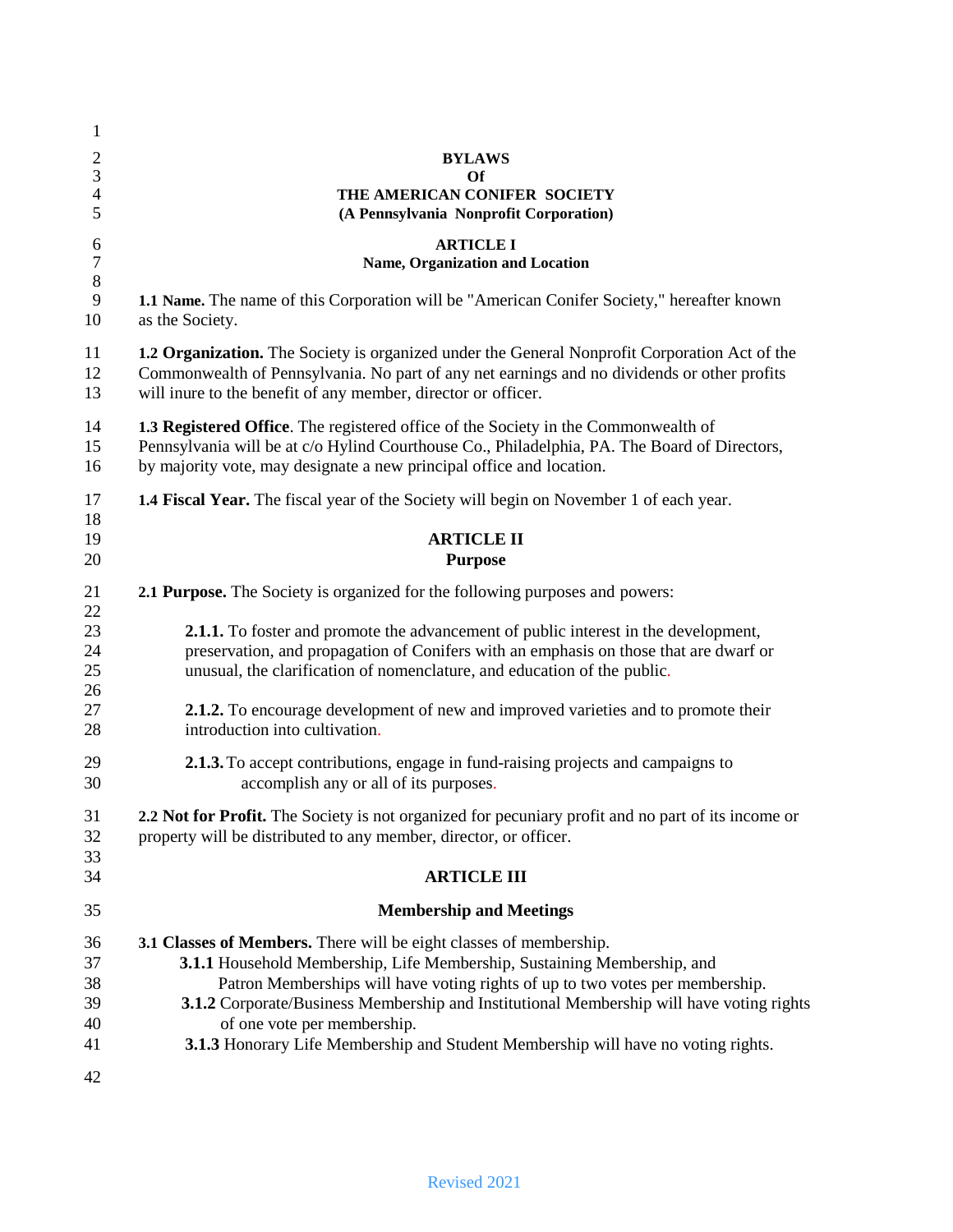| 1<br>$\overline{c}$<br>$\mathfrak{Z}$<br>$\overline{\mathcal{A}}$<br>5 | <b>BYLAWS</b><br><b>Of</b><br>THE AMERICAN CONIFER SOCIETY<br>(A Pennsylvania Nonprofit Corporation)                                                                                                                                                                                                                                                                                                                                           |  |  |
|------------------------------------------------------------------------|------------------------------------------------------------------------------------------------------------------------------------------------------------------------------------------------------------------------------------------------------------------------------------------------------------------------------------------------------------------------------------------------------------------------------------------------|--|--|
| 6<br>$\overline{7}$<br>$\,8\,$<br>9<br>10                              | <b>ARTICLE I</b><br>Name, Organization and Location                                                                                                                                                                                                                                                                                                                                                                                            |  |  |
|                                                                        | 1.1 Name. The name of this Corporation will be "American Conifer Society," hereafter known<br>as the Society.                                                                                                                                                                                                                                                                                                                                  |  |  |
| 11<br>12<br>13                                                         | 1.2 Organization. The Society is organized under the General Nonprofit Corporation Act of the<br>Commonwealth of Pennsylvania. No part of any net earnings and no dividends or other profits<br>will inure to the benefit of any member, director or officer.                                                                                                                                                                                  |  |  |
| 14<br>15<br>16                                                         | 1.3 Registered Office. The registered office of the Society in the Commonwealth of<br>Pennsylvania will be at c/o Hylind Courthouse Co., Philadelphia, PA. The Board of Directors,<br>by majority vote, may designate a new principal office and location.                                                                                                                                                                                     |  |  |
| 17                                                                     | <b>1.4 Fiscal Year.</b> The fiscal year of the Society will begin on November 1 of each year.                                                                                                                                                                                                                                                                                                                                                  |  |  |
| 18<br>19<br>20                                                         | <b>ARTICLE II</b><br><b>Purpose</b>                                                                                                                                                                                                                                                                                                                                                                                                            |  |  |
| 21<br>22<br>23<br>24<br>25<br>26<br>27<br>28                           | 2.1 Purpose. The Society is organized for the following purposes and powers:                                                                                                                                                                                                                                                                                                                                                                   |  |  |
|                                                                        | <b>2.1.1.</b> To foster and promote the advancement of public interest in the development,<br>preservation, and propagation of Conifers with an emphasis on those that are dwarf or<br>unusual, the clarification of nomenclature, and education of the public.                                                                                                                                                                                |  |  |
|                                                                        | <b>2.1.2.</b> To encourage development of new and improved varieties and to promote their<br>introduction into cultivation.                                                                                                                                                                                                                                                                                                                    |  |  |
| 29<br>30                                                               | 2.1.3. To accept contributions, engage in fund-raising projects and campaigns to<br>accomplish any or all of its purposes.                                                                                                                                                                                                                                                                                                                     |  |  |
| 31<br>32<br>33<br>34                                                   | 2.2 Not for Profit. The Society is not organized for pecuniary profit and no part of its income or<br>property will be distributed to any member, director, or officer.                                                                                                                                                                                                                                                                        |  |  |
|                                                                        | <b>ARTICLE III</b>                                                                                                                                                                                                                                                                                                                                                                                                                             |  |  |
| 35                                                                     | <b>Membership and Meetings</b>                                                                                                                                                                                                                                                                                                                                                                                                                 |  |  |
| 36<br>37<br>38<br>39<br>40<br>41                                       | 3.1 Classes of Members. There will be eight classes of membership.<br>3.1.1 Household Membership, Life Membership, Sustaining Membership, and<br>Patron Memberships will have voting rights of up to two votes per membership.<br>3.1.2 Corporate/Business Membership and Institutional Membership will have voting rights<br>of one vote per membership.<br>3.1.3 Honorary Life Membership and Student Membership will have no voting rights. |  |  |
| 42                                                                     |                                                                                                                                                                                                                                                                                                                                                                                                                                                |  |  |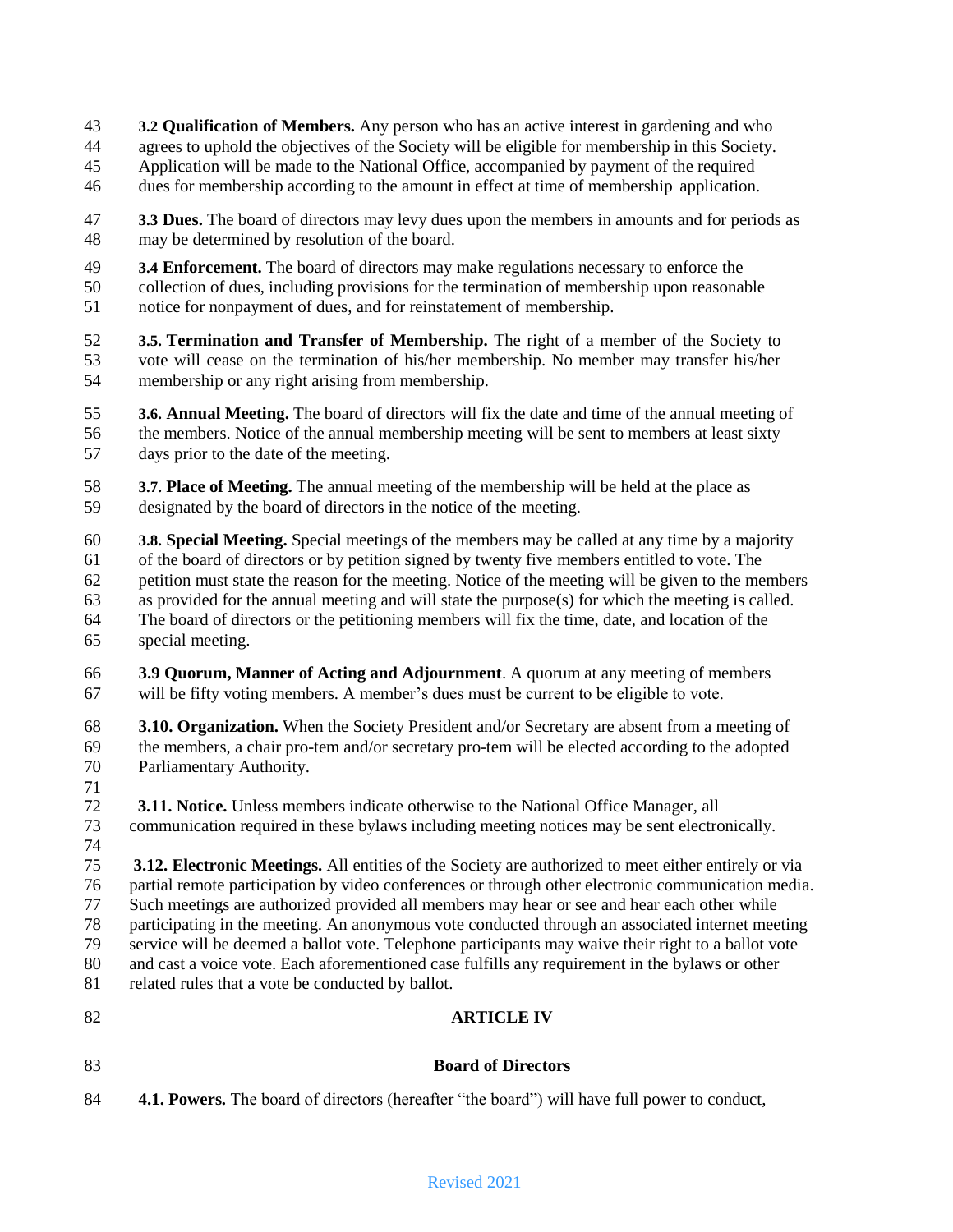- **3.2 Qualification of Members.** Any person who has an active interest in gardening and who
- agrees to uphold the objectives of the Society will be eligible for membership in this Society.
- Application will be made to the National Office, accompanied by payment of the required
- dues for membership according to the amount in effect at time of membership application.
- **3.3 Dues.** The board of directors may levy dues upon the members in amounts and for periods as may be determined by resolution of the board.
- **3.4 Enforcement.** The board of directors may make regulations necessary to enforce the collection of dues, including provisions for the termination of membership upon reasonable
- notice for nonpayment of dues, and for reinstatement of membership.
- **3.5. Termination and Transfer of Membership.** The right of a member of the Society to vote will cease on the termination of his/her membership. No member may transfer his/her membership or any right arising from membership.
- **3.6. Annual Meeting.** The board of directors will fix the date and time of the annual meeting of the members. Notice of the annual membership meeting will be sent to members at least sixty days prior to the date of the meeting.
- **3.7. Place of Meeting.** The annual meeting of the membership will be held at the place as designated by the board of directors in the notice of the meeting.
- **3.8. Special Meeting.** Special meetings of the members may be called at any time by a majority of the board of directors or by petition signed by twenty five members entitled to vote. The petition must state the reason for the meeting. Notice of the meeting will be given to the members as provided for the annual meeting and will state the purpose(s) for which the meeting is called. The board of directors or the petitioning members will fix the time, date, and location of the special meeting.
- **3.9 Quorum, Manner of Acting and Adjournment**. A quorum at any meeting of members will be fifty voting members. A member"s dues must be current to be eligible to vote.
- **3.10. Organization.** When the Society President and/or Secretary are absent from a meeting of the members, a chair pro-tem and/or secretary pro-tem will be elected according to the adopted Parliamentary Authority.
- 
- **3.11. Notice.** Unless members indicate otherwise to the National Office Manager, all communication required in these bylaws including meeting notices may be sent electronically.
- 

 **3.12. Electronic Meetings.** All entities of the Society are authorized to meet either entirely or via partial remote participation by video conferences or through other electronic communication media. Such meetings are authorized provided all members may hear or see and hear each other while participating in the meeting. An anonymous vote conducted through an associated internet meeting service will be deemed a ballot vote. Telephone participants may waive their right to a ballot vote and cast a voice vote. Each aforementioned case fulfills any requirement in the bylaws or other 81 related rules that a vote be conducted by ballot.

### **ARTICLE IV**

# **Board of Directors**

**4.1. Powers.** The board of directors (hereafter "the board") will have full power to conduct,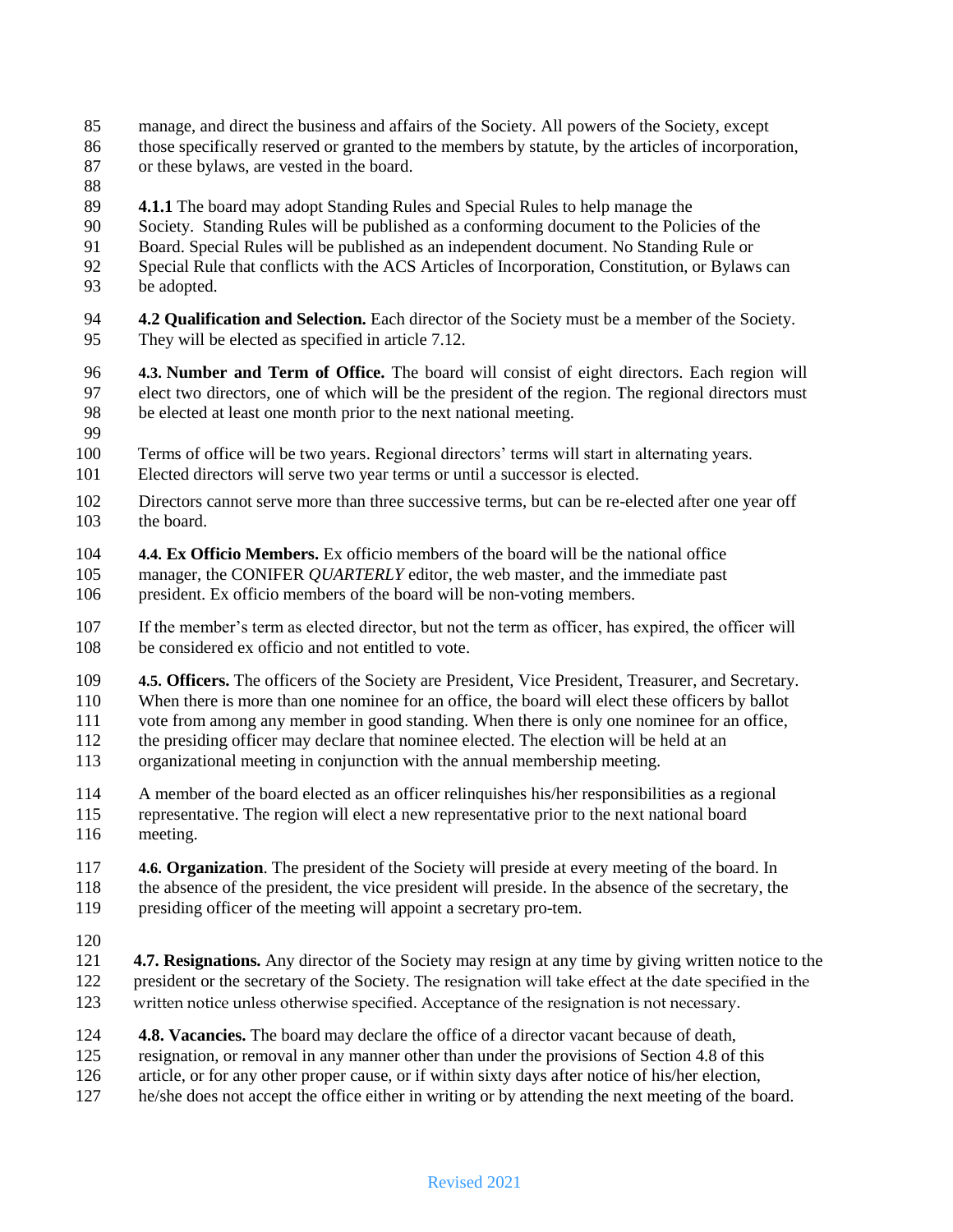- manage, and direct the business and affairs of the Society. All powers of the Society, except
- those specifically reserved or granted to the members by statute, by the articles of incorporation, or these bylaws, are vested in the board.
- 
- **4.1.1** The board may adopt Standing Rules and Special Rules to help manage the
- Society. Standing Rules will be published as a conforming document to the Policies of the
- Board. Special Rules will be published as an independent document. No Standing Rule or
- Special Rule that conflicts with the ACS Articles of Incorporation, Constitution, or Bylaws can
- be adopted.
- **4.2 Qualification and Selection.** Each director of the Society must be a member of the Society. They will be elected as specified in article 7.12.
- **4.3. Number and Term of Office.** The board will consist of eight directors. Each region will elect two directors, one of which will be the president of the region. The regional directors must be elected at least one month prior to the next national meeting.
- 
- 100 Terms of office will be two years. Regional directors' terms will start in alternating years.
- 101 Elected directors will serve two year terms or until a successor is elected.
- Directors cannot serve more than three successive terms, but can be re-elected after one year off the board.
- **4.4. Ex Officio Members.** Ex officio members of the board will be the national office
- manager, the CONIFER *QUARTERLY* editor, the web master, and the immediate past president. Ex officio members of the board will be non-voting members.
- If the member"s term as elected director, but not the term as officer, has expired, the officer will be considered ex officio and not entitled to vote.
- **4.5. Officers.** The officers of the Society are President, Vice President, Treasurer, and Secretary.
- When there is more than one nominee for an office, the board will elect these officers by ballot
- vote from among any member in good standing. When there is only one nominee for an office,
- the presiding officer may declare that nominee elected. The election will be held at an
- organizational meeting in conjunction with the annual membership meeting.
- A member of the board elected as an officer relinquishes his/her responsibilities as a regional
- representative. The region will elect a new representative prior to the next national board meeting.
- **4.6. Organization**. The president of the Society will preside at every meeting of the board. In the absence of the president, the vice president will preside. In the absence of the secretary, the presiding officer of the meeting will appoint a secretary pro-tem.
- 
- **4.7. Resignations.** Any director of the Society may resign at any time by giving written notice to the 122 president or the secretary of the Society. The resignation will take effect at the date specified in the 123 written notice unless otherwise specified. Acceptance of the resignation is not necessary.
- **4.8. Vacancies.** The board may declare the office of a director vacant because of death,
- resignation, or removal in any manner other than under the provisions of Section 4.8 of this
- article, or for any other proper cause, or if within sixty days after notice of his/her election,
- he/she does not accept the office either in writing or by attending the next meeting of the board.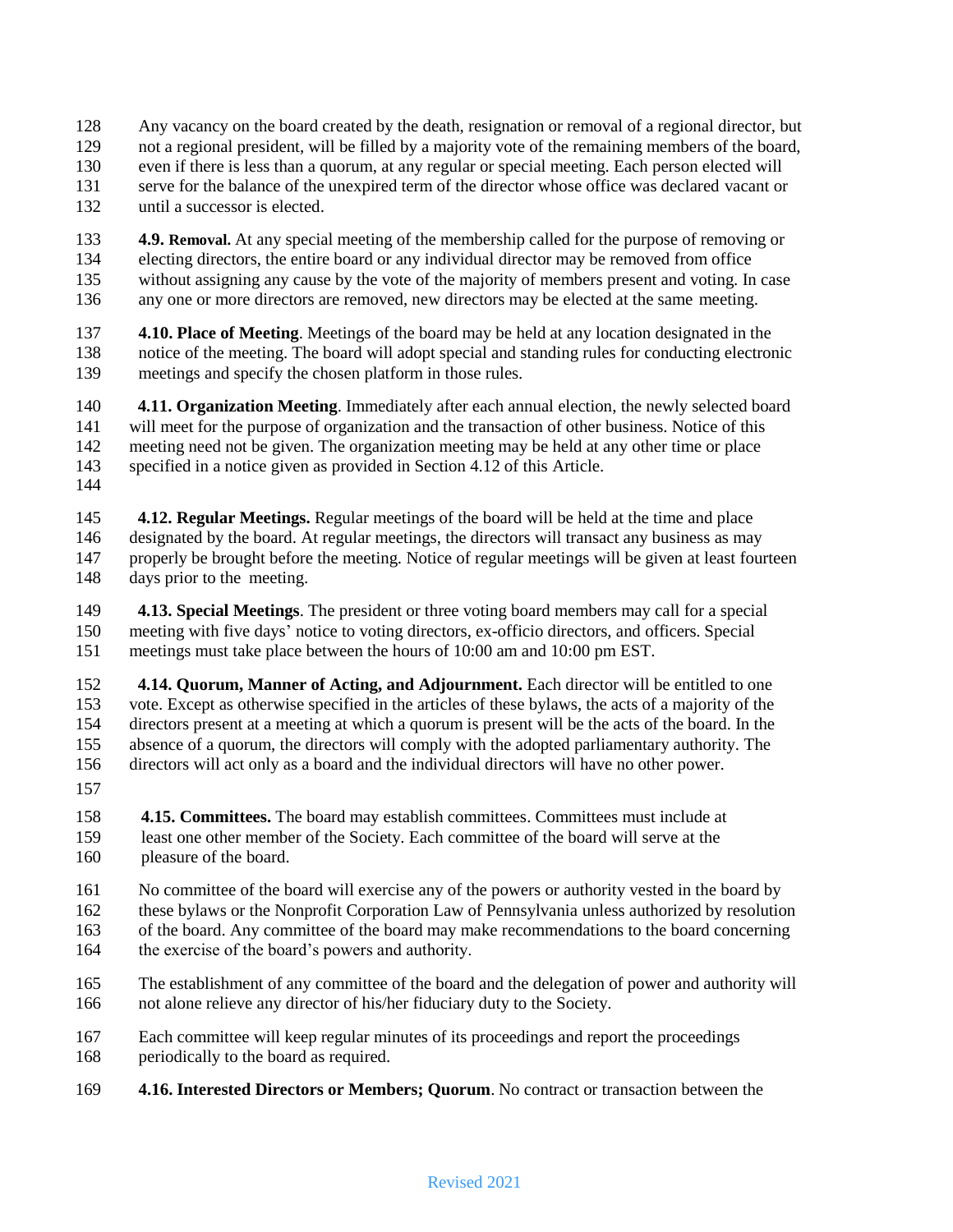- Any vacancy on the board created by the death, resignation or removal of a regional director, but
- not a regional president, will be filled by a majority vote of the remaining members of the board,
- even if there is less than a quorum, at any regular or special meeting. Each person elected will
- serve for the balance of the unexpired term of the director whose office was declared vacant or
- until a successor is elected.
- **4.9. Removal.** At any special meeting of the membership called for the purpose of removing or electing directors, the entire board or any individual director may be removed from office without assigning any cause by the vote of the majority of members present and voting. In case any one or more directors are removed, new directors may be elected at the same meeting.
- **4.10. Place of Meeting**. Meetings of the board may be held at any location designated in the notice of the meeting. The board will adopt special and standing rules for conducting electronic meetings and specify the chosen platform in those rules.
- **4.11. Organization Meeting**. Immediately after each annual election, the newly selected board will meet for the purpose of organization and the transaction of other business. Notice of this meeting need not be given. The organization meeting may be held at any other time or place specified in a notice given as provided in Section 4.12 of this Article.
- **4.12. Regular Meetings.** Regular meetings of the board will be held at the time and place designated by the board. At regular meetings, the directors will transact any business as may properly be brought before the meeting. Notice of regular meetings will be given at least fourteen days prior to the meeting.
- **4.13. Special Meetings**. The president or three voting board members may call for a special meeting with five days" notice to voting directors, ex-officio directors, and officers. Special meetings must take place between the hours of 10:00 am and 10:00 pm EST.
- **4.14. Quorum, Manner of Acting, and Adjournment.** Each director will be entitled to one vote. Except as otherwise specified in the articles of these bylaws, the acts of a majority of the directors present at a meeting at which a quorum is present will be the acts of the board. In the absence of a quorum, the directors will comply with the adopted parliamentary authority. The directors will act only as a board and the individual directors will have no other power.
- 
- **4.15. Committees.** The board may establish committees. Committees must include at 159…….least one other member of the Society. Each committee of the board will serve at the 160 bleasure of the board.
- No committee of the board will exercise any of the powers or authority vested in the board by
- these bylaws or the Nonprofit Corporation Law of Pennsylvania unless authorized by resolution
- of the board. Any committee of the board may make recommendations to the board concerning the exercise of the board"s powers and authority.
- The establishment of any committee of the board and the delegation of power and authority will not alone relieve any director of his/her fiduciary duty to the Society.
- Each committee will keep regular minutes of its proceedings and report the proceedings periodically to the board as required.
- **4.16. Interested Directors or Members; Quorum**. No contract or transaction between the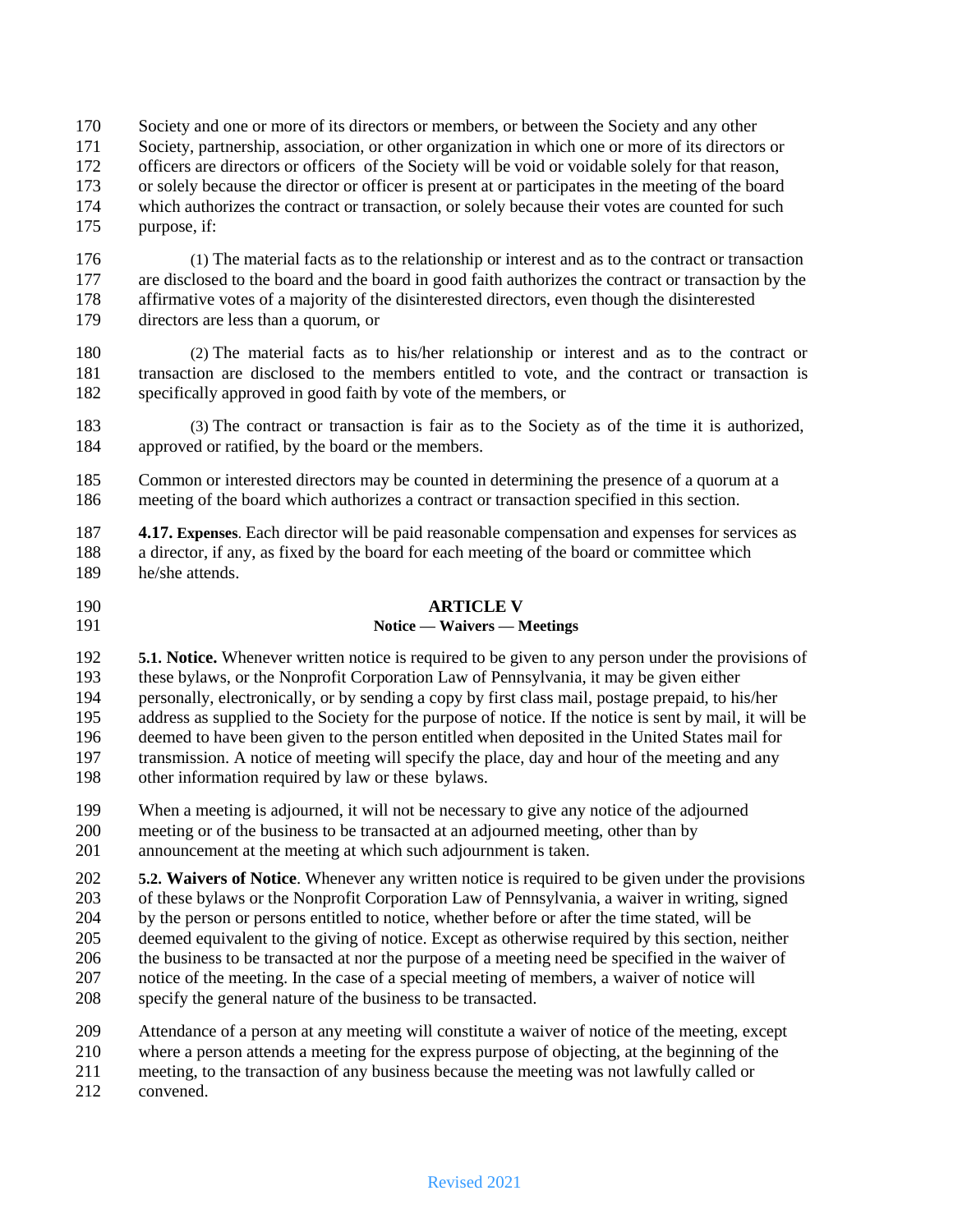- Society and one or more of its directors or members, or between the Society and any other
- Society, partnership, association, or other organization in which one or more of its directors or
- officers are directors or officers of the Society will be void or voidable solely for that reason,
- or solely because the director or officer is present at or participates in the meeting of the board which authorizes the contract or transaction, or solely because their votes are counted for such
- purpose, if:

 (1) The material facts as to the relationship or interest and as to the contract or transaction are disclosed to the board and the board in good faith authorizes the contract or transaction by the affirmative votes of a majority of the disinterested directors, even though the disinterested directors are less than a quorum, or

- (2) The material facts as to his/her relationship or interest and as to the contract or transaction are disclosed to the members entitled to vote, and the contract or transaction is specifically approved in good faith by vote of the members, or
- (3) The contract or transaction is fair as to the Society as of the time it is authorized, approved or ratified, by the board or the members.
- Common or interested directors may be counted in determining the presence of a quorum at a meeting of the board which authorizes a contract or transaction specified in this section.

 **4.17. Expenses**. Each director will be paid reasonable compensation and expenses for services as a director, if any, as fixed by the board for each meeting of the board or committee which he/she attends.

### **ARTICLE V**

# **Notice — Waivers — Meetings**

 **5.1. Notice.** Whenever written notice is required to be given to any person under the provisions of these bylaws, or the Nonprofit Corporation Law of Pennsylvania, it may be given either personally, electronically, or by sending a copy by first class mail, postage prepaid, to his/her address as supplied to the Society for the purpose of notice. If the notice is sent by mail, it will be deemed to have been given to the person entitled when deposited in the United States mail for transmission. A notice of meeting will specify the place, day and hour of the meeting and any other information required by law or these bylaws.

 When a meeting is adjourned, it will not be necessary to give any notice of the adjourned meeting or of the business to be transacted at an adjourned meeting, other than by announcement at the meeting at which such adjournment is taken.

 **5.2. Waivers of Notice**. Whenever any written notice is required to be given under the provisions of these bylaws or the Nonprofit Corporation Law of Pennsylvania, a waiver in writing, signed by the person or persons entitled to notice, whether before or after the time stated, will be deemed equivalent to the giving of notice. Except as otherwise required by this section, neither the business to be transacted at nor the purpose of a meeting need be specified in the waiver of notice of the meeting. In the case of a special meeting of members, a waiver of notice will specify the general nature of the business to be transacted.

- Attendance of a person at any meeting will constitute a waiver of notice of the meeting, except
- where a person attends a meeting for the express purpose of objecting, at the beginning of the
- meeting, to the transaction of any business because the meeting was not lawfully called or
- convened.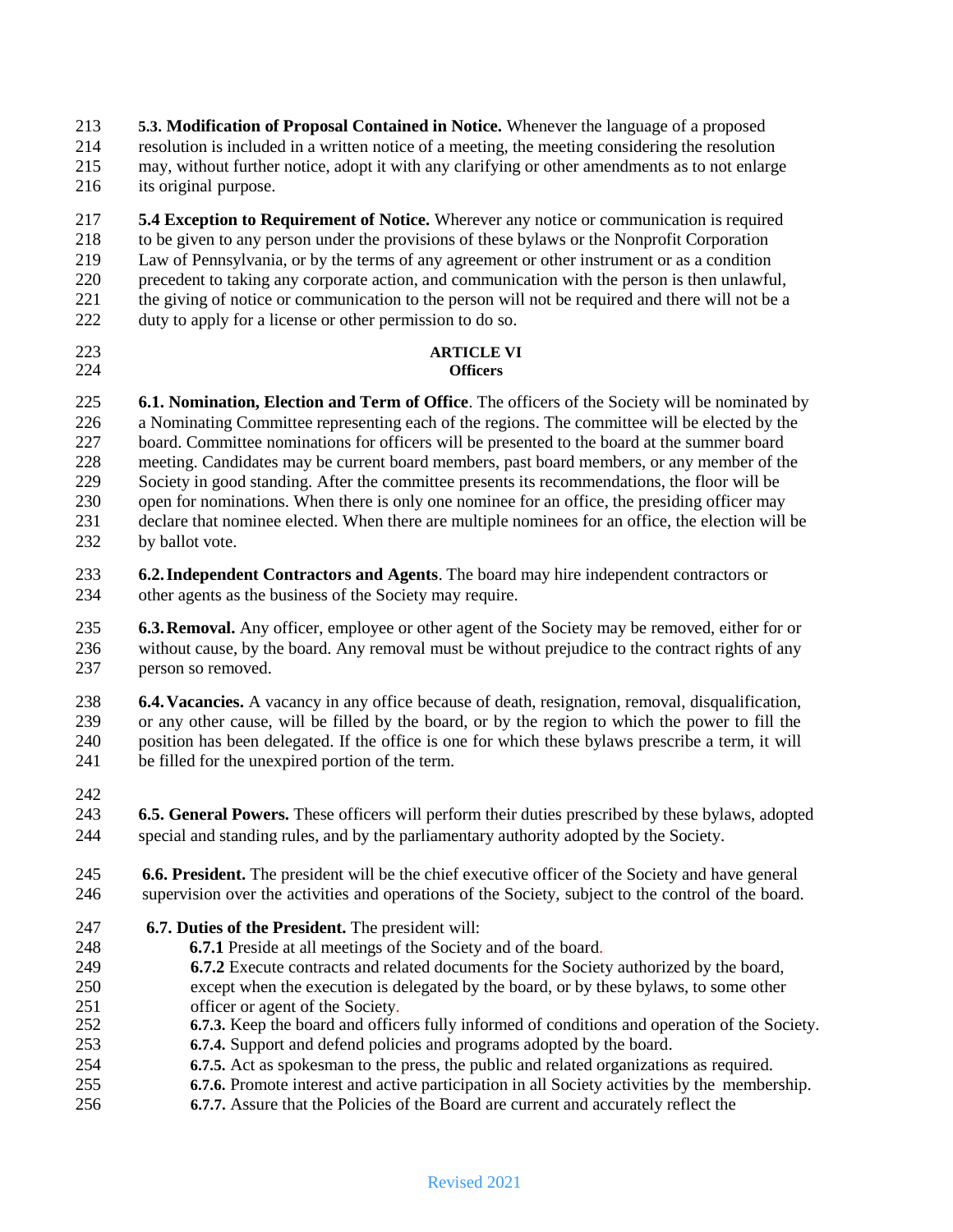**5.3. Modification of Proposal Contained in Notice.** Whenever the language of a proposed resolution is included in a written notice of a meeting, the meeting considering the resolution may, without further notice, adopt it with any clarifying or other amendments as to not enlarge its original purpose.

 **5.4 Exception to Requirement of Notice.** Wherever any notice or communication is required to be given to any person under the provisions of these bylaws or the Nonprofit Corporation Law of Pennsylvania, or by the terms of any agreement or other instrument or as a condition precedent to taking any corporate action, and communication with the person is then unlawful, the giving of notice or communication to the person will not be required and there will not be a 222 duty to apply for a license or other permission to do so.

**ARTICLE VI**

# **Officers**

 **6.1. Nomination, Election and Term of Office**. The officers of the Society will be nominated by a Nominating Committee representing each of the regions. The committee will be elected by the board. Committee nominations for officers will be presented to the board at the summer board meeting. Candidates may be current board members, past board members, or any member of the Society in good standing. After the committee presents its recommendations, the floor will be open for nominations. When there is only one nominee for an office, the presiding officer may declare that nominee elected. When there are multiple nominees for an office, the election will be 232 by ballot vote.

 **6.2.Independent Contractors and Agents**. The board may hire independent contractors or other agents as the business of the Society may require.

 **6.3.Removal.** Any officer, employee or other agent of the Society may be removed, either for or without cause, by the board. Any removal must be without prejudice to the contract rights of any person so removed.

 **6.4.Vacancies.** A vacancy in any office because of death, resignation, removal, disqualification, or any other cause, will be filled by the board, or by the region to which the power to fill the position has been delegated. If the office is one for which these bylaws prescribe a term, it will be filled for the unexpired portion of the term.

 **6.5. General Powers.** These officers will perform their duties prescribed by these bylaws, adopted special and standing rules, and by the parliamentary authority adopted by the Society.

- **6.6. President.** The president will be the chief executive officer of the Society and have general 246 supervision over the activities and operations of the Society, subject to the control of the board.
- **... 6.7. Duties of the President.** The president will:
- **6.7.1** Preside at all meetings of the Society and of the board.
- **6.7.2** Execute contracts and related documents for the Society authorized by the board,
- except when the execution is delegated by the board, or by these bylaws, to some other officer or agent of the Society.
- **6.7.3.** Keep the board and officers fully informed of conditions and operation of the Society.
- **6.7.4.** Support and defend policies and programs adopted by the board.
- **6.7.5.** Act as spokesman to the press, the public and related organizations as required.
- **6.7.6.** Promote interest and active participation in all Society activities by the membership.
- **6.7.7.** Assure that the Policies of the Board are current and accurately reflect the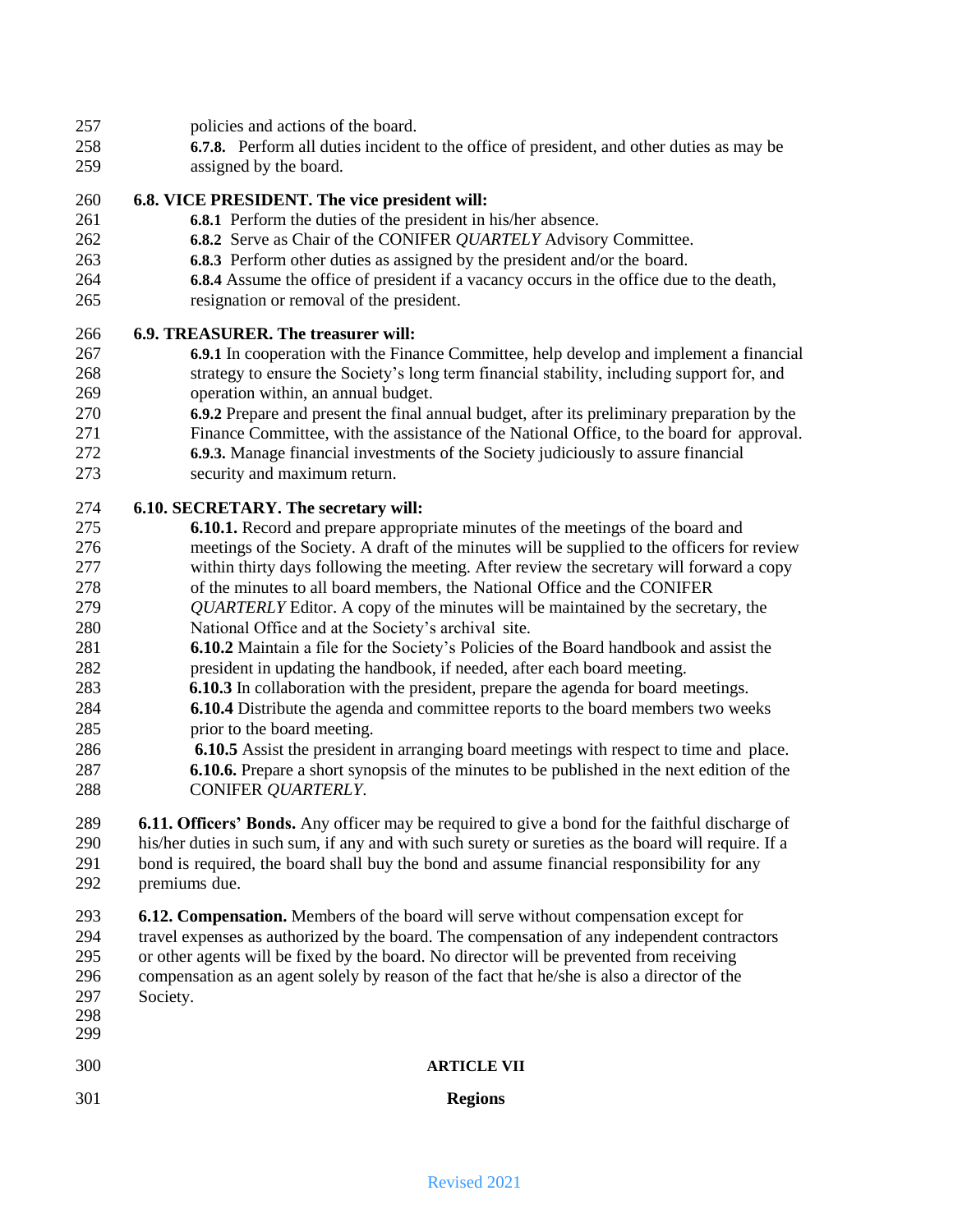- policies and actions of the board.
- **6.7.8.** Perform all duties incident to the office of president, and other duties as may be
- assigned by the board.

# **6.8. VICE PRESIDENT. The vice president will:**

- **6.8.1** Perform the duties of the president in his/her absence.
- **6.8.2** Serve as Chair of the CONIFER *QUARTELY* Advisory Committee.
- **6.8.3** Perform other duties as assigned by the president and/or the board.
- **6.8.4** Assume the office of president if a vacancy occurs in the office due to the death,
- resignation or removal of the president.

# **6.9. TREASURER. The treasurer will:**

- **6.9.1** In cooperation with the Finance Committee, help develop and implement a financial strategy to ensure the Society"s long term financial stability, including support for, and operation within, an annual budget.
- **6.9.2** Prepare and present the final annual budget, after its preliminary preparation by the
- Finance Committee, with the assistance of the National Office, to the board for approval. **6.9.3.** Manage financial investments of the Society judiciously to assure financial
- security and maximum return.

# **6.10. SECRETARY. The secretary will:**

- **6.10.1.** Record and prepare appropriate minutes of the meetings of the board and meetings of the Society. A draft of the minutes will be supplied to the officers for review within thirty days following the meeting. After review the secretary will forward a copy
- of the minutes to all board members, the National Office and the CONIFER
- *QUARTERLY* Editor. A copy of the minutes will be maintained by the secretary, the National Office and at the Society"s archival site.
- **6.10.2** Maintain a file for the Society"s Policies of the Board handbook and assist the president in updating the handbook, if needed, after each board meeting.
- **6.10.3** In collaboration with the president, prepare the agenda for board meetings.
- **6.10.4** Distribute the agenda and committee reports to the board members two weeks prior to the board meeting.
- **6.10.5** Assist the president in arranging board meetings with respect to time and place. …….. **6.10.6.** Prepare a short synopsis of the minutes to be published in the next edition of the **CONIFER** *QUARTERLY*.
- **6.11. Officers' Bonds.** Any officer may be required to give a bond for the faithful discharge of his/her duties in such sum, if any and with such surety or sureties as the board will require. If a bond is required, the board shall buy the bond and assume financial responsibility for any premiums due.

 **6.12. Compensation.** Members of the board will serve without compensation except for travel expenses as authorized by the board. The compensation of any independent contractors or other agents will be fixed by the board. No director will be prevented from receiving compensation as an agent solely by reason of the fact that he/she is also a director of the Society.

| - - -<br>298<br>299 | $\sim$ $\sim$ $\sim$ $\sim$ $\sim$ $\sim$ $\sim$ $\sim$ |                    |
|---------------------|---------------------------------------------------------|--------------------|
| 300                 |                                                         | <b>ARTICLE VII</b> |
| 301                 |                                                         | <b>Regions</b>     |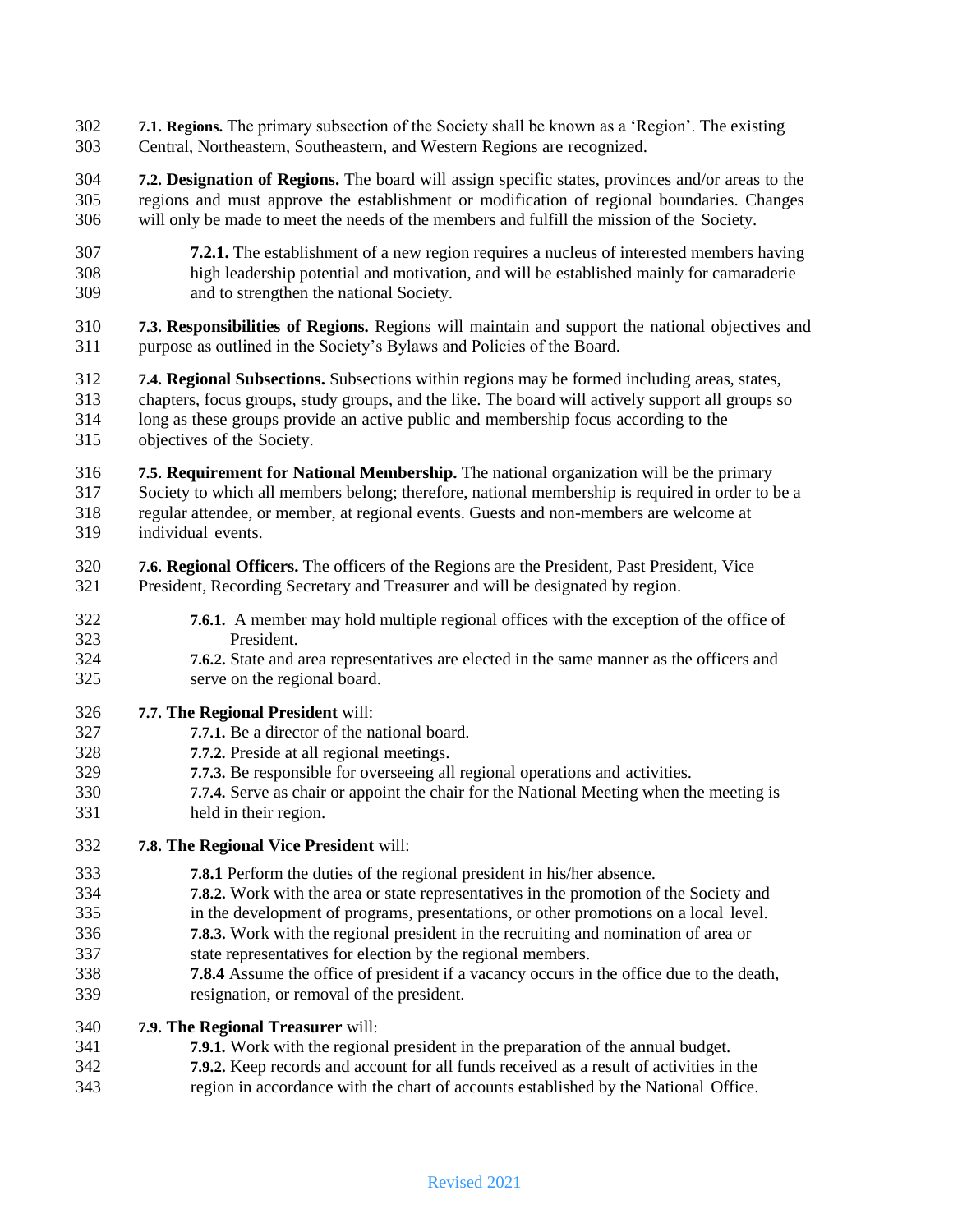**7.1. Regions.** The primary subsection of the Society shall be known as a "Region". The existing Central, Northeastern, Southeastern, and Western Regions are recognized.

 **7.2. Designation of Regions.** The board will assign specific states, provinces and/or areas to the regions and must approve the establishment or modification of regional boundaries. Changes will only be made to meet the needs of the members and fulfill the mission of the Society.

- **7.2.1.** The establishment of a new region requires a nucleus of interested members having high leadership potential and motivation, and will be established mainly for camaraderie and to strengthen the national Society.
- **7.3. Responsibilities of Regions.** Regions will maintain and support the national objectives and purpose as outlined in the Society"s Bylaws and Policies of the Board.
- **7.4. Regional Subsections.** Subsections within regions may be formed including areas, states, chapters, focus groups, study groups, and the like. The board will actively support all groups so long as these groups provide an active public and membership focus according to the objectives of the Society.
- **7.5. Requirement for National Membership.** The national organization will be the primary Society to which all members belong; therefore, national membership is required in order to be a regular attendee, or member, at regional events. Guests and non-members are welcome at individual events.
- **7.6. Regional Officers.** The officers of the Regions are the President, Past President, Vice President, Recording Secretary and Treasurer and will be designated by region.
- **7.6.1.** A member may hold multiple regional offices with the exception of the office of President.
- **7.6.2.** State and area representatives are elected in the same manner as the officers and serve on the regional board.

### **7.7. The Regional President** will:

- **7.7.1.** Be a director of the national board.
- **7.7.2.** Preside at all regional meetings.
- **7.7.3.** Be responsible for overseeing all regional operations and activities.
- **7.7.4.** Serve as chair or appoint the chair for the National Meeting when the meeting is held in their region.
- **7.8. The Regional Vice President** will:
- **7.8.1** Perform the duties of the regional president in his/her absence.
- **7.8.2.** Work with the area or state representatives in the promotion of the Society and
- in the development of programs, presentations, or other promotions on a local level.
- **7.8.3.** Work with the regional president in the recruiting and nomination of area or
- state representatives for election by the regional members.
- **7.8.4** Assume the office of president if a vacancy occurs in the office due to the death, resignation, or removal of the president.

### **7.9. The Regional Treasurer** will:

- **7.9.1.** Work with the regional president in the preparation of the annual budget.
- **7.9.2.** Keep records and account for all funds received as a result of activities in the
- region in accordance with the chart of accounts established by the National Office.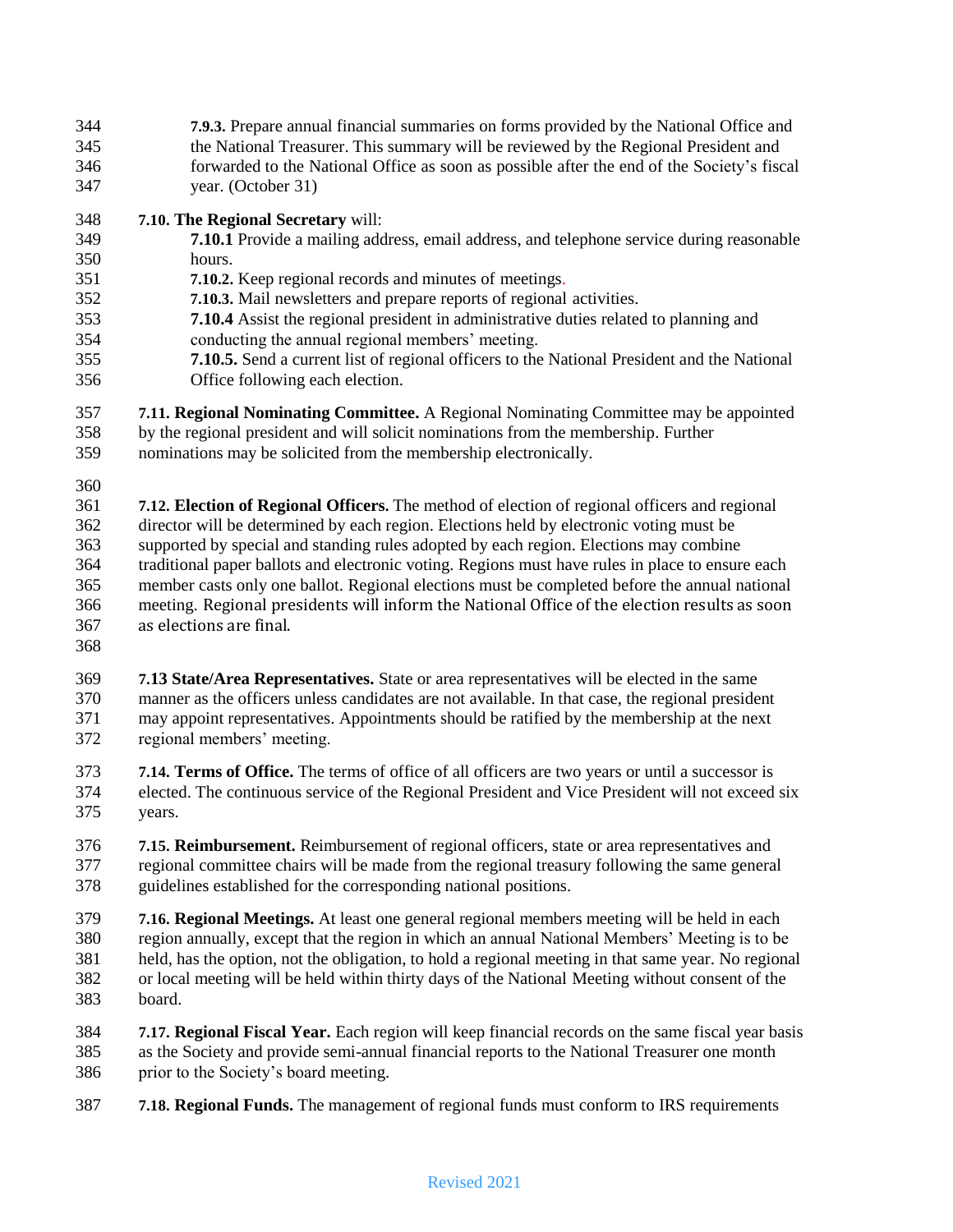**7.9.3.** Prepare annual financial summaries on forms provided by the National Office and the National Treasurer. This summary will be reviewed by the Regional President and forwarded to the National Office as soon as possible after the end of the Society"s fiscal year. (October 31)

# **7.10. The Regional Secretary** will:

- **7.10.1** Provide a mailing address, email address, and telephone service during reasonable hours.
- **7.10.2.** Keep regional records and minutes of meetings.
- **7.10.3.** Mail newsletters and prepare reports of regional activities.
- **7.10.4** Assist the regional president in administrative duties related to planning and conducting the annual regional members" meeting.
- **7.10.5.** Send a current list of regional officers to the National President and the National Office following each election.
- **7.11. Regional Nominating Committee.** A Regional Nominating Committee may be appointed
- by the regional president and will solicit nominations from the membership. Further
- nominations may be solicited from the membership electronically.
- 

 **7.12. Election of Regional Officers.** The method of election of regional officers and regional director will be determined by each region. Elections held by electronic voting must be supported by special and standing rules adopted by each region. Elections may combine traditional paper ballots and electronic voting. Regions must have rules in place to ensure each member casts only one ballot. Regional elections must be completed before the annual national meeting. Regional presidents will inform the National Office of the election results as soon as elections are final.

 **7.13 State/Area Representatives.** State or area representatives will be elected in the same manner as the officers unless candidates are not available. In that case, the regional president may appoint representatives. Appointments should be ratified by the membership at the next regional members" meeting.

 **7.14. Terms of Office.** The terms of office of all officers are two years or until a successor is elected. The continuous service of the Regional President and Vice President will not exceed six years.

 **7.15. Reimbursement.** Reimbursement of regional officers, state or area representatives and regional committee chairs will be made from the regional treasury following the same general guidelines established for the corresponding national positions.

 **7.16. Regional Meetings.** At least one general regional members meeting will be held in each region annually, except that the region in which an annual National Members" Meeting is to be held, has the option, not the obligation, to hold a regional meeting in that same year. No regional or local meeting will be held within thirty days of the National Meeting without consent of the board.

 **7.17. Regional Fiscal Year.** Each region will keep financial records on the same fiscal year basis as the Society and provide semi-annual financial reports to the National Treasurer one month prior to the Society"s board meeting.

**7.18. Regional Funds.** The management of regional funds must conform to IRS requirements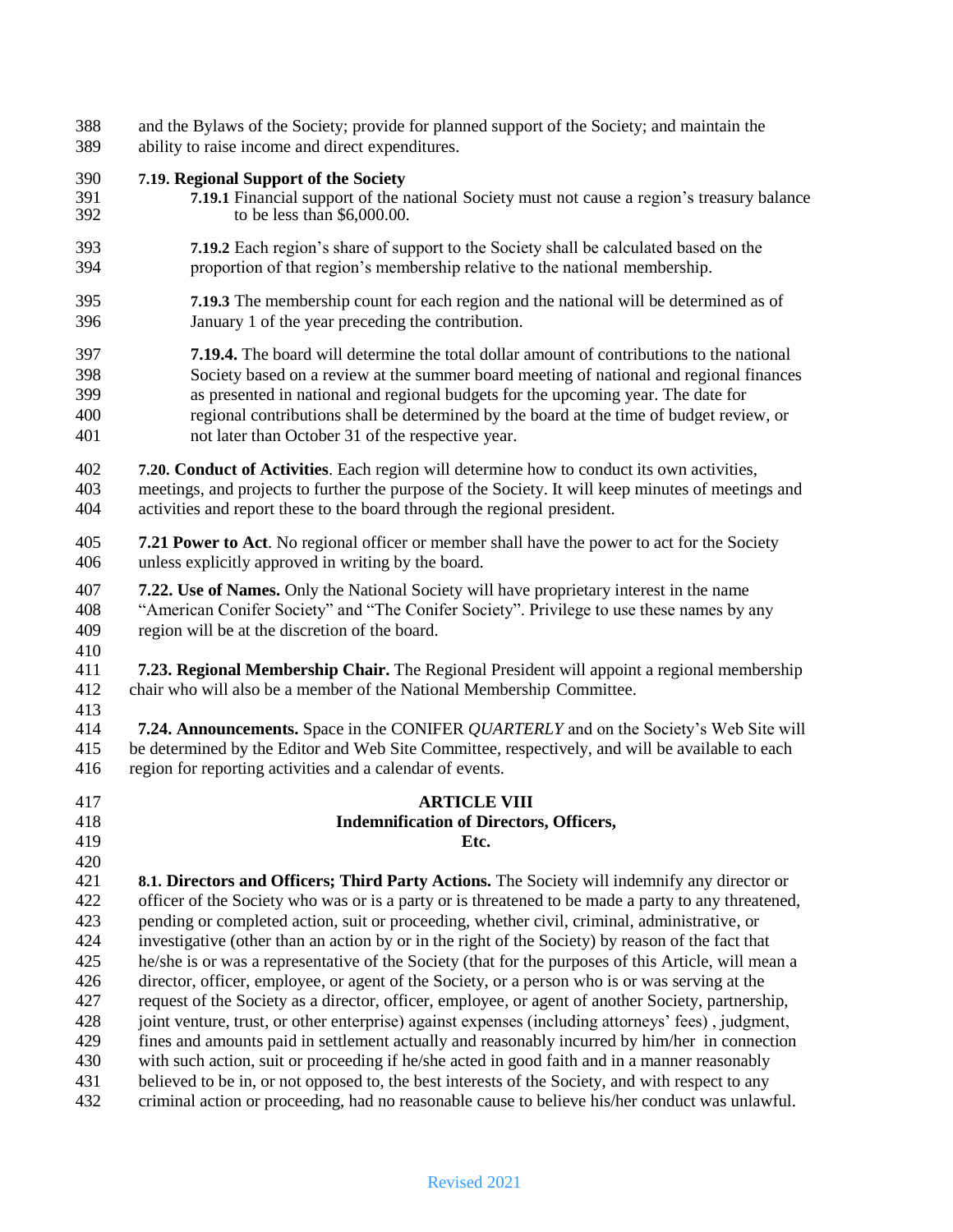- and the Bylaws of the Society; provide for planned support of the Society; and maintain the ability to raise income and direct expenditures.
- **7.19. Regional Support of the Society**
- **7.19.1** Financial support of the national Society must not cause a region"s treasury balance to be less than  $$6,000.00$ .
- **7.19.2** Each region"s share of support to the Society shall be calculated based on the proportion of that region"s membership relative to the national membership.
- **7.19.3** The membership count for each region and the national will be determined as of January 1 of the year preceding the contribution.
- **7.19.4.** The board will determine the total dollar amount of contributions to the national Society based on a review at the summer board meeting of national and regional finances as presented in national and regional budgets for the upcoming year. The date for regional contributions shall be determined by the board at the time of budget review, or not later than October 31 of the respective year.
- **7.20. Conduct of Activities**. Each region will determine how to conduct its own activities, meetings, and projects to further the purpose of the Society. It will keep minutes of meetings and activities and report these to the board through the regional president.
- **7.21 Power to Act**. No regional officer or member shall have the power to act for the Society unless explicitly approved in writing by the board.
- **7.22. Use of Names.** Only the National Society will have proprietary interest in the name "American Conifer Society" and "The Conifer Society". Privilege to use these names by any region will be at the discretion of the board.
- 

 **7.23. Regional Membership Chair.** The Regional President will appoint a regional membership chair who will also be a member of the National Membership Committee.

 **7.24. Announcements.** Space in the CONIFER *QUARTERLY* and on the Society"s Web Site will be determined by the Editor and Web Site Committee, respectively, and will be available to each region for reporting activities and a calendar of events.

- **ARTICLE VIII Indemnification of Directors, Officers, Etc. 8.1. Directors and Officers; Third Party Actions.** The Society will indemnify any director or officer of the Society who was or is a party or is threatened to be made a party to any threatened, pending or completed action, suit or proceeding, whether civil, criminal, administrative, or investigative (other than an action by or in the right of the Society) by reason of the fact that he/she is or was a representative of the Society (that for the purposes of this Article, will mean a director, officer, employee, or agent of the Society, or a person who is or was serving at the request of the Society as a director, officer, employee, or agent of another Society, partnership, joint venture, trust, or other enterprise) against expenses (including attorneys" fees) , judgment,
- fines and amounts paid in settlement actually and reasonably incurred by him/her in connection
- with such action, suit or proceeding if he/she acted in good faith and in a manner reasonably
- believed to be in, or not opposed to, the best interests of the Society, and with respect to any criminal action or proceeding, had no reasonable cause to believe his/her conduct was unlawful.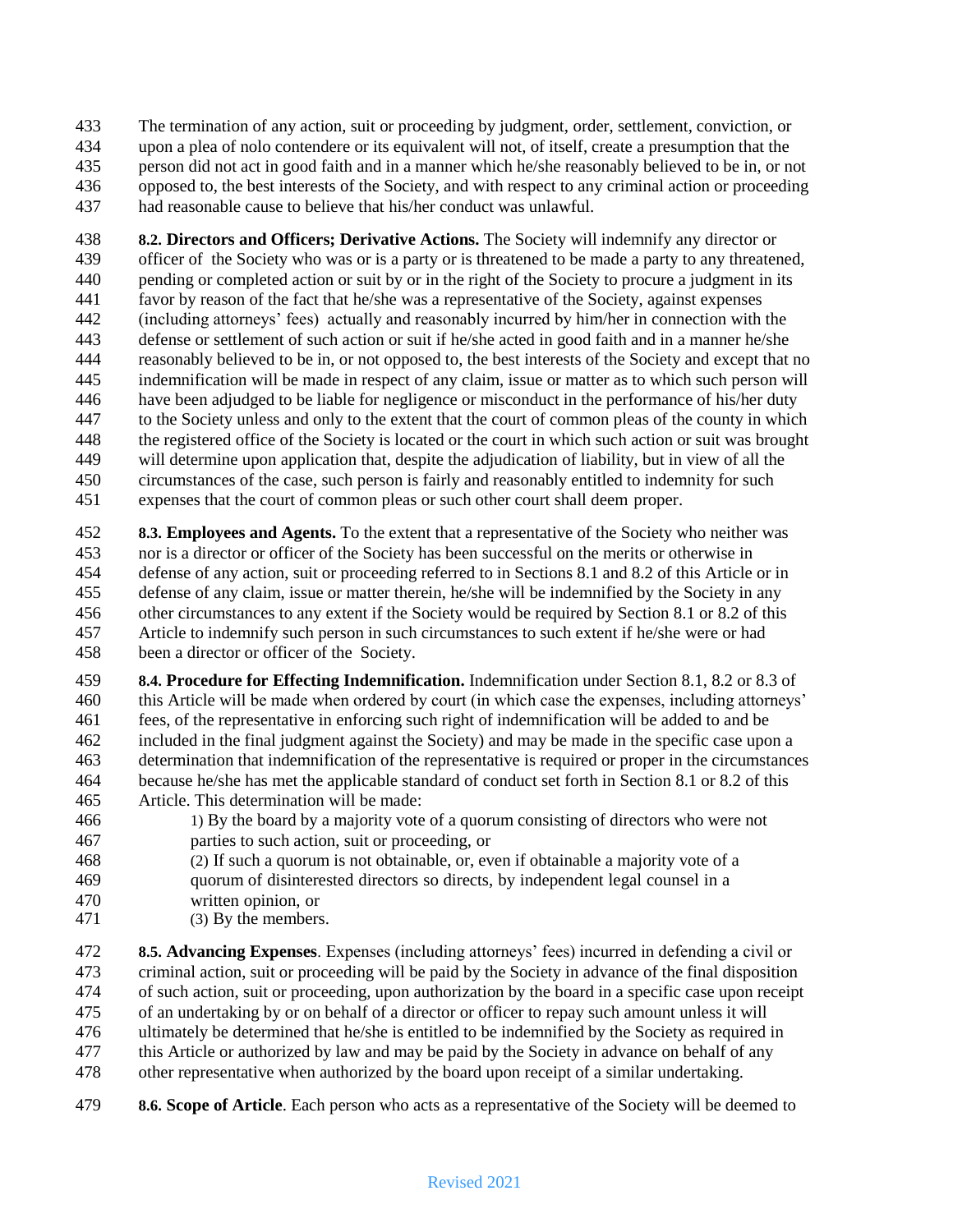The termination of any action, suit or proceeding by judgment, order, settlement, conviction, or upon a plea of nolo contendere or its equivalent will not, of itself, create a presumption that the person did not act in good faith and in a manner which he/she reasonably believed to be in, or not opposed to, the best interests of the Society, and with respect to any criminal action or proceeding had reasonable cause to believe that his/her conduct was unlawful.

 **8.2. Directors and Officers; Derivative Actions.** The Society will indemnify any director or officer of the Society who was or is a party or is threatened to be made a party to any threatened, pending or completed action or suit by or in the right of the Society to procure a judgment in its favor by reason of the fact that he/she was a representative of the Society, against expenses (including attorneys" fees) actually and reasonably incurred by him/her in connection with the defense or settlement of such action or suit if he/she acted in good faith and in a manner he/she reasonably believed to be in, or not opposed to, the best interests of the Society and except that no indemnification will be made in respect of any claim, issue or matter as to which such person will have been adjudged to be liable for negligence or misconduct in the performance of his/her duty to the Society unless and only to the extent that the court of common pleas of the county in which the registered office of the Society is located or the court in which such action or suit was brought will determine upon application that, despite the adjudication of liability, but in view of all the circumstances of the case, such person is fairly and reasonably entitled to indemnity for such expenses that the court of common pleas or such other court shall deem proper.

 **8.3. Employees and Agents.** To the extent that a representative of the Society who neither was nor is a director or officer of the Society has been successful on the merits or otherwise in defense of any action, suit or proceeding referred to in Sections 8.1 and 8.2 of this Article or in defense of any claim, issue or matter therein, he/she will be indemnified by the Society in any other circumstances to any extent if the Society would be required by Section 8.1 or 8.2 of this Article to indemnify such person in such circumstances to such extent if he/she were or had been a director or officer of the Society.

 **8.4. Procedure for Effecting Indemnification.** Indemnification under Section 8.1, 8.2 or 8.3 of this Article will be made when ordered by court (in which case the expenses, including attorneys" fees, of the representative in enforcing such right of indemnification will be added to and be included in the final judgment against the Society) and may be made in the specific case upon a determination that indemnification of the representative is required or proper in the circumstances because he/she has met the applicable standard of conduct set forth in Section 8.1 or 8.2 of this Article. This determination will be made:

- 1) By the board by a majority vote of a quorum consisting of directors who were not parties to such action, suit or proceeding, or
- (2) If such a quorum is not obtainable, or, even if obtainable a majority vote of a
- quorum of disinterested directors so directs, by independent legal counsel in a
- written opinion, or
- (3) By the members.

 **8.5. Advancing Expenses**. Expenses (including attorneys" fees) incurred in defending a civil or criminal action, suit or proceeding will be paid by the Society in advance of the final disposition of such action, suit or proceeding, upon authorization by the board in a specific case upon receipt of an undertaking by or on behalf of a director or officer to repay such amount unless it will ultimately be determined that he/she is entitled to be indemnified by the Society as required in this Article or authorized by law and may be paid by the Society in advance on behalf of any other representative when authorized by the board upon receipt of a similar undertaking.

**8.6. Scope of Article**. Each person who acts as a representative of the Society will be deemed to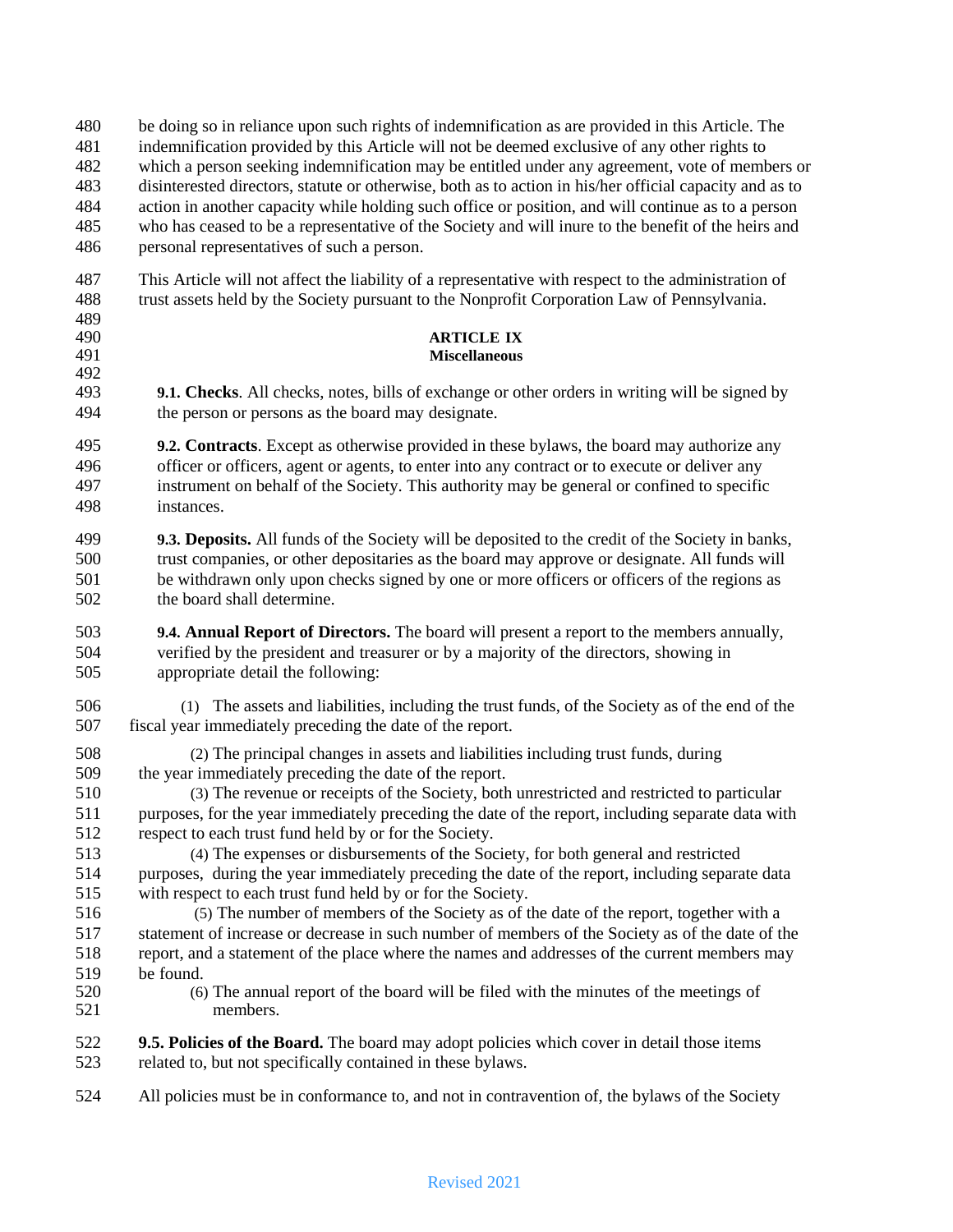be doing so in reliance upon such rights of indemnification as are provided in this Article. The

indemnification provided by this Article will not be deemed exclusive of any other rights to

- which a person seeking indemnification may be entitled under any agreement, vote of members or
- disinterested directors, statute or otherwise, both as to action in his/her official capacity and as to

 action in another capacity while holding such office or position, and will continue as to a person who has ceased to be a representative of the Society and will inure to the benefit of the heirs and

personal representatives of such a person.

 This Article will not affect the liability of a representative with respect to the administration of trust assets held by the Society pursuant to the Nonprofit Corporation Law of Pennsylvania.

# 489<br>490

# **ARTICLE IX**

 **9.1. Checks**. All checks, notes, bills of exchange or other orders in writing will be signed by the person or persons as the board may designate.

**Miscellaneous**

 **9.2. Contracts**. Except as otherwise provided in these bylaws, the board may authorize any officer or officers, agent or agents, to enter into any contract or to execute or deliver any instrument on behalf of the Society. This authority may be general or confined to specific instances.

 **9.3. Deposits.** All funds of the Society will be deposited to the credit of the Society in banks, trust companies, or other depositaries as the board may approve or designate. All funds will be withdrawn only upon checks signed by one or more officers or officers of the regions as the board shall determine.

 **9.4. Annual Report of Directors.** The board will present a report to the members annually, verified by the president and treasurer or by a majority of the directors, showing in appropriate detail the following:

 (1) The assets and liabilities, including the trust funds, of the Society as of the end of the fiscal year immediately preceding the date of the report.

 (2) The principal changes in assets and liabilities including trust funds, during the year immediately preceding the date of the report.

 (3) The revenue or receipts of the Society, both unrestricted and restricted to particular purposes, for the year immediately preceding the date of the report, including separate data with respect to each trust fund held by or for the Society.

 (4) The expenses or disbursements of the Society, for both general and restricted purposes, during the year immediately preceding the date of the report, including separate data with respect to each trust fund held by or for the Society.

 (5) The number of members of the Society as of the date of the report, together with a statement of increase or decrease in such number of members of the Society as of the date of the report, and a statement of the place where the names and addresses of the current members may 519 be found.<br>520 (6)

 (6) The annual report of the board will be filed with the minutes of the meetings of members.

 **9.5. Policies of the Board.** The board may adopt policies which cover in detail those items related to, but not specifically contained in these bylaws.

All policies must be in conformance to, and not in contravention of, the bylaws of the Society